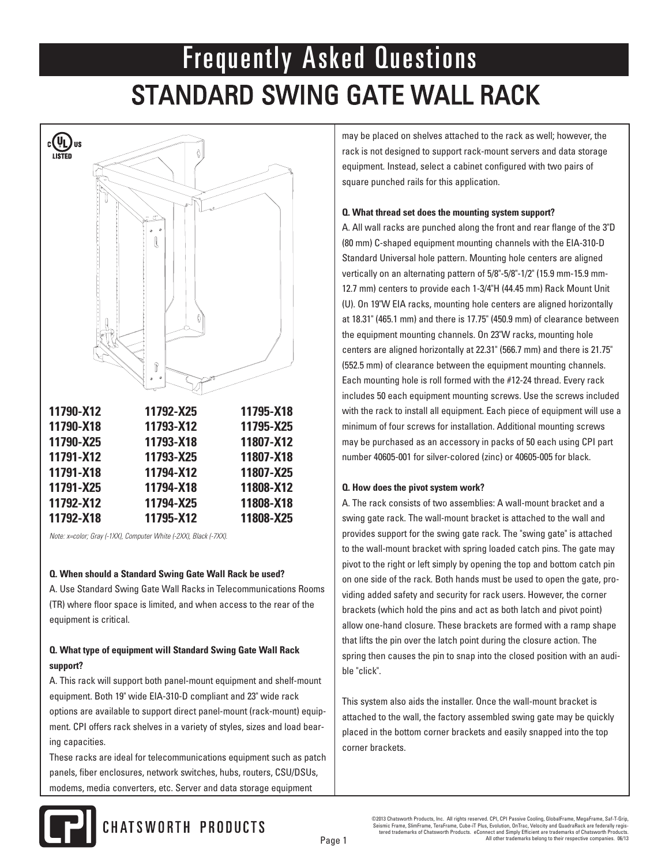

*Note: x=color; Gray (-1XX), Computer White (-2XX), Black (-7XX).*

## **Q. When should a Standard Swing Gate Wall Rack be used?**

A. Use Standard Swing Gate Wall Racks in Telecommunications Rooms (TR) where floor space is limited, and when access to the rear of the equipment is critical.

## **Q. What type of equipment will Standard Swing Gate Wall Rack support?**

A. This rack will support both panel-mount equipment and shelf-mount equipment. Both 19" wide EIA-310-D compliant and 23" wide rack options are available to support direct panel-mount (rack-mount) equipment. CPI offers rack shelves in a variety of styles, sizes and load bearing capacities.

These racks are ideal for telecommunications equipment such as patch panels, fiber enclosures, network switches, hubs, routers, CSU/DSUs, modems, media converters, etc. Server and data storage equipment

may be placed on shelves attached to the rack as well; however, the rack is not designed to support rack-mount servers and data storage equipment. Instead, select a cabinet configured with two pairs of square punched rails for this application.

## **Q. What thread set does the mounting system support?**

A. All wall racks are punched along the front and rear flange of the 3"D (80 mm) C-shaped equipment mounting channels with the EIA-310-D Standard Universal hole pattern. Mounting hole centers are aligned vertically on an alternating pattern of 5/8"-5/8"-1/2" (15.9 mm-15.9 mm-12.7 mm) centers to provide each 1-3/4"H (44.45 mm) Rack Mount Unit (U). On 19"W EIA racks, mounting hole centers are aligned horizontally at 18.31" (465.1 mm) and there is 17.75" (450.9 mm) of clearance between the equipment mounting channels. On 23"W racks, mounting hole centers are aligned horizontally at 22.31" (566.7 mm) and there is 21.75" (552.5 mm) of clearance between the equipment mounting channels. Each mounting hole is roll formed with the #12-24 thread. Every rack includes 50 each equipment mounting screws. Use the screws included with the rack to install all equipment. Each piece of equipment will use a minimum of four screws for installation. Additional mounting screws may be purchased as an accessory in packs of 50 each using CPI part number 40605-001 for silver-colored (zinc) or 40605-005 for black.

#### **Q. How does the pivot system work?**

A. The rack consists of two assemblies: A wall-mount bracket and a swing gate rack. The wall-mount bracket is attached to the wall and provides support for the swing gate rack. The "swing gate" is attached to the wall-mount bracket with spring loaded catch pins. The gate may pivot to the right or left simply by opening the top and bottom catch pin on one side of the rack. Both hands must be used to open the gate, providing added safety and security for rack users. However, the corner brackets (which hold the pins and act as both latch and pivot point) allow one-hand closure. These brackets are formed with a ramp shape that lifts the pin over the latch point during the closure action. The spring then causes the pin to snap into the closed position with an audible "click".

This system also aids the installer. Once the wall-mount bracket is attached to the wall, the factory assembled swing gate may be quickly placed in the bottom corner brackets and easily snapped into the top corner brackets.



©2013 Chatsworth Products, Inc. All rights reserved. CPI, CPI Passive Cooling, GlobalFrame, MegaFrame, Saf-T-Grip,<br>Seismic Frame, SlimFrame, TeraFrame, Cube-iT Plus, Evolution, OnTrac, Velocity and QuadraRack are federally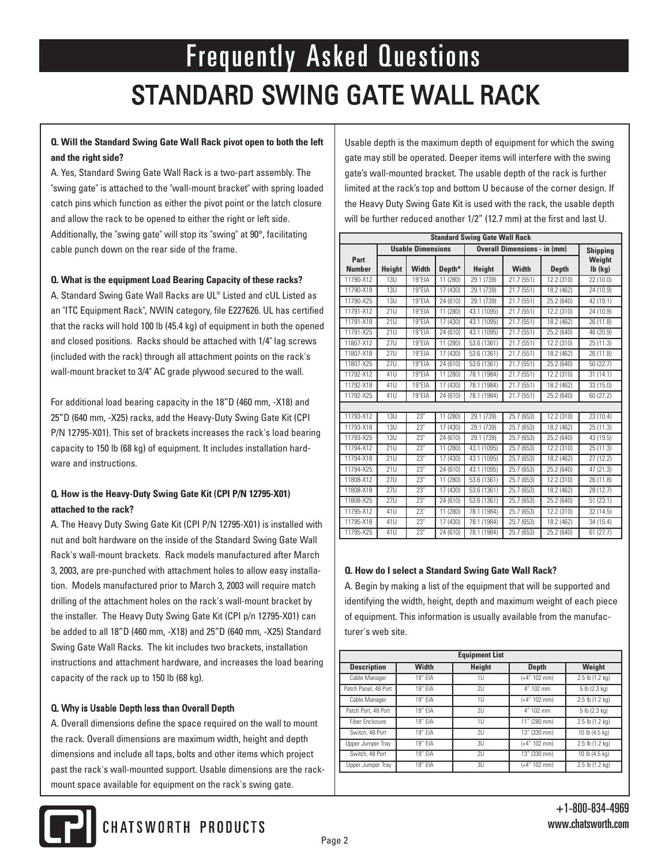## **Q. Will the Standard Swing Gate Wall Rack pivot open to both the left and the right side?**

A. Yes, Standard Swing Gate Wall Rack is a two-part assembly. The "swing gate" is attached to the "wall-mount bracket" with spring loaded catch pins which function as either the pivot point or the latch closure and allow the rack to be opened to either the right or left side. Additionally, the "swing gate" will stop its "swing" at 90°, facilitating cable punch down on the rear side of the frame.

## **Q. What is the equipment Load Bearing Capacity of these racks?**

A. Standard Swing Gate Wall Racks are UL® Listed and cUL Listed as an "ITC Equipment Rack", NWIN category, file E227626. UL has certified that the racks will hold 100 lb (45.4 kg) of equipment in both the opened and closed positions. Racks should be attached with 1/4" lag screws (included with the rack) through all attachment points on the rack's wall-mount bracket to 3/4" AC grade plywood secured to the wall.

For additional load bearing capacity in the 18"D (460 mm, -X18) and 25"D (640 mm, -X25) racks, add the Heavy-Duty Swing Gate Kit (CPI P/N 12795-X01). This set of brackets increases the rack's load bearing capacity to 150 lb (68 kg) of equipment. It includes installation hardware and instructions.

## Q**. How is the Heavy-Duty Swing Gate Kit (CPI P/N 12795-X01) attached to the rack?**

A. The Heavy Duty Swing Gate Kit (CPI P/N 12795-X01) is installed with nut and bolt hardware on the inside of the Standard Swing Gate Wall Rack's wall-mount brackets. Rack models manufactured after March 3, 2003, are pre-punched with attachment holes to allow easy installation. Models manufactured prior to March 3, 2003 will require match drilling of the attachment holes on the rack's wall-mount bracket by the installer. The Heavy Duty Swing Gate Kit (CPI p/n 12795-X01) can be added to all 18"D (460 mm, -X18) and 25"D (640 mm, -X25) Standard Swing Gate Wall Racks. The kit includes two brackets, installation instructions and attachment hardware, and increases the load bearing capacity of the rack up to 150 lb (68 kg).

## Q. Why is Usable Depth less than Overall Depth

A. Overall dimensions define the space required on the wall to mount the rack. Overall dimensions are maximum width, height and depth dimensions and include all taps, bolts and other items which project past the rack's wall-mounted support. Usable dimensions are the rackmount space available for equipment on the rack's swing gate.

Usable depth is the maximum depth of equipment for which the swing gate may still be operated. Deeper items will interfere with the swing gate's wall-mounted bracket. The usable depth of the rack is further limited at the rack's top and bottom U because of the corner design. If the Heavy Duty Swing Gate Kit is used with the rack, the usable depth will be further reduced another 1/2" (12.7 mm) at the first and last U.

| <b>Standard Swing Gate Wall Rack</b> |                          |        |                       |                                     |              |                         |                         |  |  |
|--------------------------------------|--------------------------|--------|-----------------------|-------------------------------------|--------------|-------------------------|-------------------------|--|--|
|                                      | <b>Usable Dimensions</b> |        |                       | <b>Overall Dimensions - in (mm)</b> |              |                         | <b>Shipping</b>         |  |  |
| Part<br><b>Number</b>                | Height                   | Width  | Depth*                | <b>Height</b>                       | <b>Width</b> | <b>Depth</b>            | Weight<br>$Ib$ ( $kg$ ) |  |  |
| 11790-X12                            | 13U                      | 19"EIA | 11 (280)              | 29.1 (739)                          | 21.7 (551)   | 12.2 (310)              | 22(10.0)                |  |  |
| 11790-X18                            | 13U                      | 19"EIA | 17(430)               | 29.1 (739)                          | 21.7(551)    | 18.2 (462)              | 24(10.9)                |  |  |
| 11790-X25                            | 13U                      | 19"EIA | 24 (610)              | 29.1 (739)                          | 21.7 (551)   | 25.2 (640)              | 42 (19.1)               |  |  |
| 11791-X12                            | 21U                      | 19"EIA | 11 (280)              | 43.1 (1095)                         | 21.7(551)    | 12.2 (310)              | 24(10.9)                |  |  |
| 11791-X18                            | 21U                      | 19"EIA | 17(430)               | 43.1 (1095)                         | 21.7 (551)   | 18.2 (462)              | 26 (11.8)               |  |  |
| 11791-X25                            | 21U                      | 19"EIA | 24 (610)              | 43.1 (1095)                         | 21.7 (551)   | 25.2 (640)              | 46 (20.9)               |  |  |
| 11807-X12                            | <b>27U</b>               | 19"EIA | $\overline{11}$ (280) | 53.6 (1361)                         | 21.7 (551)   | $\overline{12.2}$ (310) | 25 (11.3)               |  |  |
| 11807-X18                            | 27U                      | 19"EIA | 17(430)               | 53.6 (1361)                         | 21.7(551)    | 18.2 (462)              | 26(11.8)                |  |  |
| 11807-X25                            | 27U                      | 19"EIA | 24 (610)              | 53.6 (1361)                         | 21.7 (551)   | 25.2 (640)              | 50(22.7)                |  |  |
| 11792-X12                            | 41U                      | 19"EIA | 11 (280)              | 78.1 (1984)                         | 21.7 (551)   | 12.2 (310)              | 31(14.1)                |  |  |
| 11792-X18                            | 41U                      | 19"EIA | 17(430)               | 78.1 (1984)                         | 21.7(551)    | 18.2 (462)              | 33(15.0)                |  |  |
| 11792-X25                            | 41U                      | 19"EIA | 24 (610)              | 78.1 (1984)                         | 21.7 (551)   | 25.2 (640)              | 60 (27.2)               |  |  |
|                                      |                          |        |                       |                                     |              |                         |                         |  |  |
| 11793-X12                            | 13U                      | 23"    | 11 (280)              | 29.1 (739)                          | 25.7 (653)   | 12.2 (310)              | 23(10.4)                |  |  |
| 11793-X18                            | 13U                      | 73"    | 17(430)               | 29.1 (739)                          | 25.7 (653)   | 18.2 (462)              | 25(11.3)                |  |  |
| 11793-X25                            | 13U                      | 73"    | 24 (610)              | 29.1 (739)                          | 25.7 (653)   | 25.2 (640)              | 43 (19.5)               |  |  |
| 11794-X12                            | <b>21U</b>               | 23"    | 11 (280)              | 43.1 (1095)                         | 25.7 (653)   | 12.2 (310)              | 25 (11.3)               |  |  |
| 11794-X18                            | 21U                      | 23"    | 17(430)               | 43.1 (1095)                         | 25.7 (653)   | 18.2 (462)              | 27(12.2)                |  |  |
| 11794-X25                            | 21U                      | 23"    | 24(610)               | 43.1 (1095)                         | 25.7 (653)   | 25.2 (640)              | 47 (21.3)               |  |  |
| 11808-X12                            | <b>27U</b>               | 23"    | 11(280)               | 53.6 (1361)                         | 25.7 (653)   | 12.2 (310)              | 26 (11.8)               |  |  |
| 11808-X18                            | 27U                      | 73"    | 17(430)               | 53.6 (1361)                         | 25.7 (653)   | 18.2 (462)              | 28(12.7)                |  |  |
| 11808-X25                            | $\overline{27}$ U        | 73"    | 24(610)               | 53.6 (1361)                         | 25.7 (653)   | 25.2 (640)              | 51(23.1)                |  |  |
| 11795-X12                            | 41U                      | 73"    | 11(280)               | 78.1 (1984)                         | 25.7 (653)   | 12.2 (310)              | 32 (14.5)               |  |  |
| 11795-X18                            | 41U                      | 23"    | 17 (430)              | 78.1 (1984)                         | 25.7(653)    | 18.2(462)               | 34 (15.4)               |  |  |
| 11795-X25                            | 41U                      | 23"    | 24(610)               | 78.1 (1984)                         | 25.7 (653)   | 25.2 (640)              | 61(27.7)                |  |  |

#### **Q. How do I select a Standard Swing Gate Wall Rack?**

A. Begin by making a list of the equipment that will be supported and identifying the width, height, depth and maximum weight of each piece of equipment. This information is usually available from the manufacturer's web site.

| <b>Equipment List</b>  |           |        |                 |                     |  |  |  |
|------------------------|-----------|--------|-----------------|---------------------|--|--|--|
| <b>Description</b>     | Width     | Height | Depth           | Weight              |  |  |  |
| Cable Manager          | 19" EIA   | 1U     | $(+4" 102 mm)$  | 2.5 lb (1.2 kg)     |  |  |  |
| Patch Panel, 48 Port   | 19" FIA   | 211    | 4" 102 mm       | 5 lb (2.3 kg)       |  |  |  |
| Cable Manager          | 19" FIA   | 111    | $(+4" 102 mm)$  | 2.5 lb (1.2 kg)     |  |  |  |
| Patch Port, 48 Port    | 19" FIA   | 211    | 4" 102 mm       | 5 lb (2.3 kg)       |  |  |  |
| <b>Fiber Enclosure</b> | 19" FIA   | 111    | $11''$ (280 mm) | $2.5$ lb $(1.2$ kg) |  |  |  |
| Switch, 48 Port        | 19" FIA   | 211    | 13" (330 mm)    | 10 lb (4.5 kg)      |  |  |  |
| Upper Jumper Tray      | 19" FIA   | 311    | $(+4" 102 mm)$  | $2.5$ lb $(1.2$ kg) |  |  |  |
| Switch, 48 Port        | $19"$ EIA | 711    | 13" (330 mm)    | 10 lb (4.5 kg)      |  |  |  |
| Upper Jumper Tray      | 19" EIA   | 3U     | $(+4" 102 mm)$  | 2.5 lb (1.2 kg)     |  |  |  |

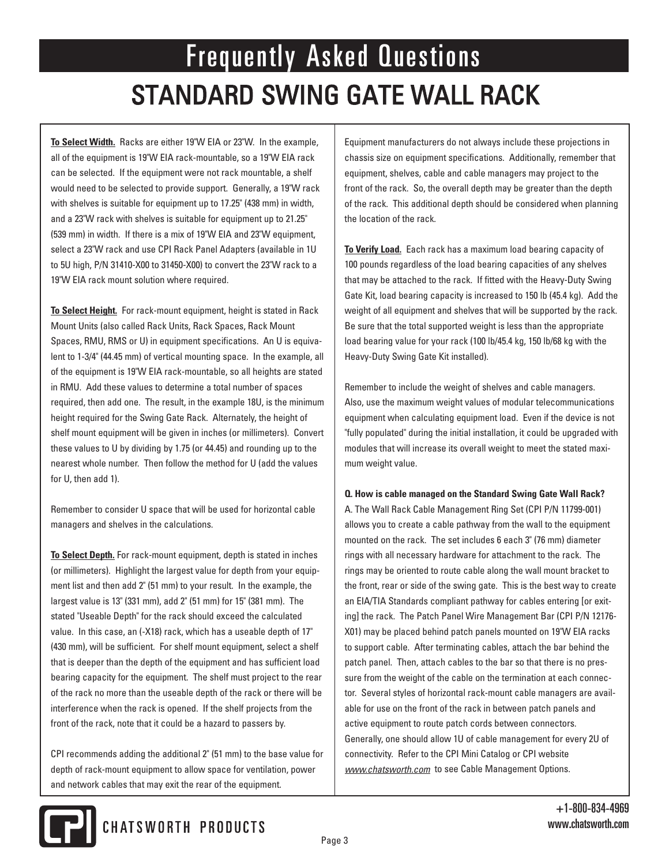**To Select Width.** Racks are either 19"W EIA or 23"W. In the example, all of the equipment is 19"W EIA rack-mountable, so a 19"W EIA rack can be selected. If the equipment were not rack mountable, a shelf would need to be selected to provide support. Generally, a 19"W rack with shelves is suitable for equipment up to 17.25" (438 mm) in width, and a 23"W rack with shelves is suitable for equipment up to 21.25" (539 mm) in width. If there is a mix of 19"W EIA and 23"W equipment, select a 23"W rack and use CPI Rack Panel Adapters (available in 1U to 5U high, P/N 31410-X00 to 31450-X00) to convert the 23"W rack to a 19"W EIA rack mount solution where required.

**To Select Height.** For rack-mount equipment, height is stated in Rack Mount Units (also called Rack Units, Rack Spaces, Rack Mount Spaces, RMU, RMS or U) in equipment specifications. An U is equivalent to 1-3/4" (44.45 mm) of vertical mounting space. In the example, all of the equipment is 19"W EIA rack-mountable, so all heights are stated in RMU. Add these values to determine a total number of spaces required, then add one. The result, in the example 18U, is the minimum height required for the Swing Gate Rack. Alternately, the height of shelf mount equipment will be given in inches (or millimeters). Convert these values to U by dividing by 1.75 (or 44.45) and rounding up to the nearest whole number. Then follow the method for U (add the values for U, then add 1).

Remember to consider U space that will be used for horizontal cable managers and shelves in the calculations.

**To Select Depth.** For rack-mount equipment, depth is stated in inches (or millimeters). Highlight the largest value for depth from your equipment list and then add 2" (51 mm) to your result. In the example, the largest value is 13" (331 mm), add 2" (51 mm) for 15" (381 mm). The stated "Useable Depth" for the rack should exceed the calculated value. In this case, an (-X18) rack, which has a useable depth of 17" (430 mm), will be sufficient. For shelf mount equipment, select a shelf that is deeper than the depth of the equipment and has sufficient load bearing capacity for the equipment. The shelf must project to the rear of the rack no more than the useable depth of the rack or there will be interference when the rack is opened. If the shelf projects from the front of the rack, note that it could be a hazard to passers by.

CPI recommends adding the additional 2" (51 mm) to the base value for depth of rack-mount equipment to allow space for ventilation, power and network cables that may exit the rear of the equipment.

Equipment manufacturers do not always include these projections in chassis size on equipment specifications. Additionally, remember that equipment, shelves, cable and cable managers may project to the front of the rack. So, the overall depth may be greater than the depth of the rack. This additional depth should be considered when planning the location of the rack.

**To Verify Load.** Each rack has a maximum load bearing capacity of 100 pounds regardless of the load bearing capacities of any shelves that may be attached to the rack. If fitted with the Heavy-Duty Swing Gate Kit, load bearing capacity is increased to 150 lb (45.4 kg). Add the weight of all equipment and shelves that will be supported by the rack. Be sure that the total supported weight is less than the appropriate load bearing value for your rack (100 lb/45.4 kg, 150 lb/68 kg with the Heavy-Duty Swing Gate Kit installed).

Remember to include the weight of shelves and cable managers. Also, use the maximum weight values of modular telecommunications equipment when calculating equipment load. Even if the device is not "fully populated" during the initial installation, it could be upgraded with modules that will increase its overall weight to meet the stated maximum weight value.

#### **Q. How is cable managed on the Standard Swing Gate Wall Rack?**

A. The Wall Rack Cable Management Ring Set (CPI P/N 11799-001) allows you to create a cable pathway from the wall to the equipment mounted on the rack. The set includes 6 each 3" (76 mm) diameter rings with all necessary hardware for attachment to the rack. The rings may be oriented to route cable along the wall mount bracket to the front, rear or side of the swing gate. This is the best way to create an EIA/TIA Standards compliant pathway for cables entering [or exiting] the rack. The Patch Panel Wire Management Bar (CPI P/N 12176- X01) may be placed behind patch panels mounted on 19"W EIA racks to support cable. After terminating cables, attach the bar behind the patch panel. Then, attach cables to the bar so that there is no pressure from the weight of the cable on the termination at each connector. Several styles of horizontal rack-mount cable managers are available for use on the front of the rack in between patch panels and active equipment to route patch cords between connectors. Generally, one should allow 1U of cable management for every 2U of connectivity. Refer to the CPI Mini Catalog or CPI website *www.chatsworth.com* to see Cable Management Options.